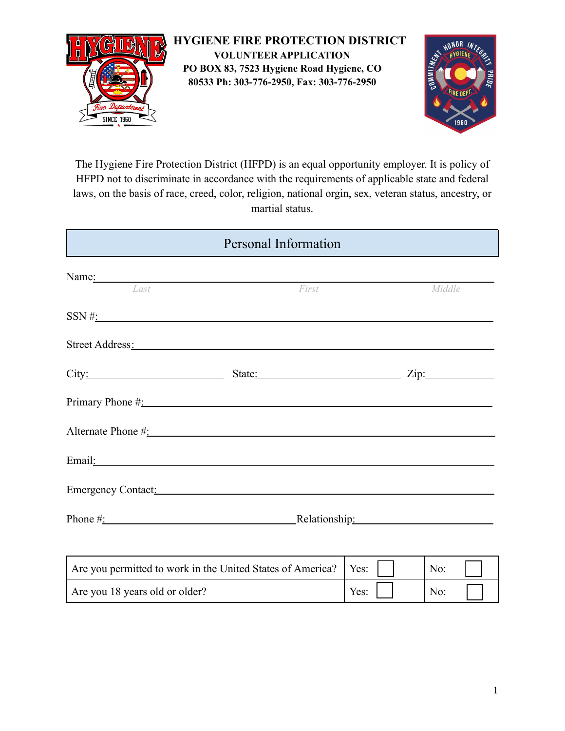

The Hygiene Fire Protection District (HFPD) is an equal opportunity employer. It is policy of HFPD not to discriminate in accordance with the requirements of applicable state and federal laws, on the basis of race, creed, color, religion, national orgin, sex, veteran status, ancestry, or martial status.

| Personal Information<br>$\mathcal{O}(\mathbb{R}^d)$ . The set of $\mathcal{O}(\mathbb{R}^d)$                                                                                                                                   |              |        |  |
|--------------------------------------------------------------------------------------------------------------------------------------------------------------------------------------------------------------------------------|--------------|--------|--|
| Name.                                                                                                                                                                                                                          |              |        |  |
| Last<br>First                                                                                                                                                                                                                  |              | Middle |  |
| $SSN \frac{H_1}{H_2}$                                                                                                                                                                                                          |              |        |  |
| Street Address: No. 2016. The Contract of the Contract of the Contract of the Contract of the Contract of the Contract of the Contract of the Contract of the Contract of the Contract of the Contract of the Contract of the  |              |        |  |
| $City:$ State: State: Zip:                                                                                                                                                                                                     |              |        |  |
| Primary Phone $\#$ :                                                                                                                                                                                                           |              |        |  |
|                                                                                                                                                                                                                                |              |        |  |
| Email: The Contract of the Contract of the Contract of the Contract of the Contract of the Contract of the Contract of the Contract of the Contract of the Contract of the Contract of the Contract of the Contract of the Con |              |        |  |
| Emergency Contact: <u>Contactional Control of the Secondary Contact:</u>                                                                                                                                                       |              |        |  |
| Phone #: example and a set of the Relationship: Relationship:                                                                                                                                                                  |              |        |  |
|                                                                                                                                                                                                                                |              |        |  |
| Are you permitted to work in the United States of America?                                                                                                                                                                     | Yes: $\vert$ | No:    |  |
| Are you 18 years old or older?                                                                                                                                                                                                 | Yes:         | No:    |  |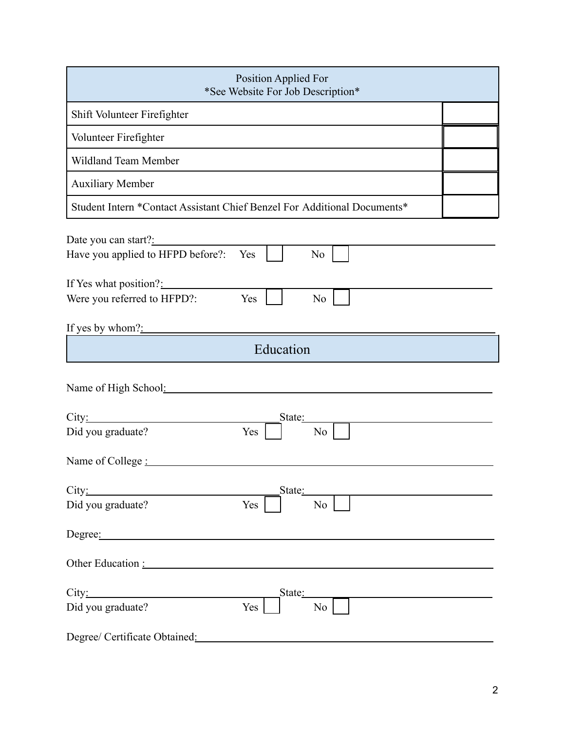| <b>Position Applied For</b><br>*See Website For Job Description*                                                                                                                                                                |  |  |  |
|---------------------------------------------------------------------------------------------------------------------------------------------------------------------------------------------------------------------------------|--|--|--|
| Shift Volunteer Firefighter                                                                                                                                                                                                     |  |  |  |
| Volunteer Firefighter                                                                                                                                                                                                           |  |  |  |
| <b>Wildland Team Member</b>                                                                                                                                                                                                     |  |  |  |
| <b>Auxiliary Member</b>                                                                                                                                                                                                         |  |  |  |
| Student Intern *Contact Assistant Chief Benzel For Additional Documents*                                                                                                                                                        |  |  |  |
| Date you can start?:<br>Have you applied to HFPD before?:<br>N <sub>o</sub><br>Yes<br>If Yes what position?:<br>Were you referred to HFPD?:<br>Yes<br>N <sub>0</sub><br>If yes by whom? $\frac{?}{?}$                           |  |  |  |
| Education                                                                                                                                                                                                                       |  |  |  |
| Name of High School:<br>City:<br>State:<br>Did you graduate?<br>Yes<br>N <sub>0</sub>                                                                                                                                           |  |  |  |
| Name of College :                                                                                                                                                                                                               |  |  |  |
| City.<br>State:<br><u> 1980 - Johann Stein, marwolaethau a bhann an t-Albann an t-Albann an t-Albann an t-Albann an t-Albann an t-Al</u><br><u> 1989 - Johann Barbara, martxa alemaniar a</u><br>Did you graduate?<br>Yes<br>No |  |  |  |
| Degree:                                                                                                                                                                                                                         |  |  |  |
| Other Education : New York Contact Service Contact Service Contact Service Contact Service Contact Service Contact Service Contact Service Contact Service Contact Service Contact Service Contact Service Contact Service Con  |  |  |  |
| City: 2008. 2010. 2010. 2010. 2010. 2010. 2010. 2010. 2010. 2010. 2010. 2010. 2010. 2010. 2010. 2010. 2010. 20<br>State:                                                                                                        |  |  |  |
| Yes<br>Did you graduate?<br>No                                                                                                                                                                                                  |  |  |  |
| Degree/ Certificate Obtained:                                                                                                                                                                                                   |  |  |  |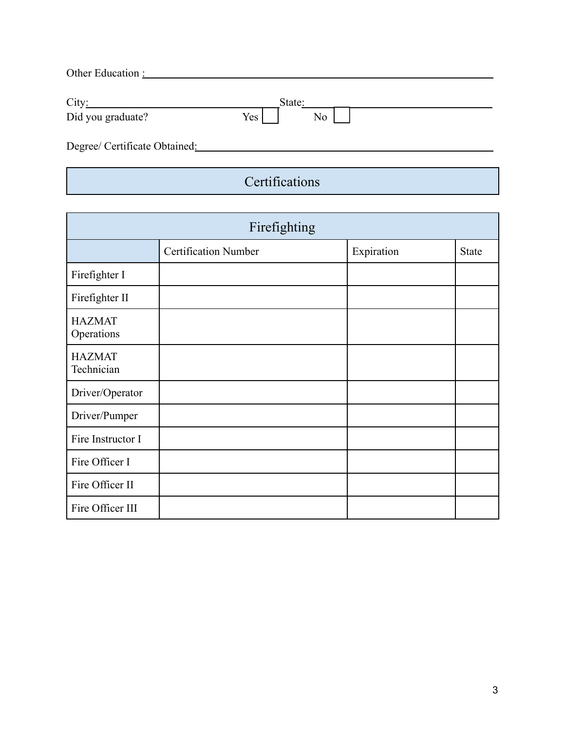| Other Education :             |                  |        |                |  |
|-------------------------------|------------------|--------|----------------|--|
| City:                         |                  | State: |                |  |
| Did you graduate?             | Yes <sup> </sup> |        | N <sub>o</sub> |  |
| Degree/ Certificate Obtained: |                  |        |                |  |

## **Certifications**

| Firefighting                |                             |            |              |
|-----------------------------|-----------------------------|------------|--------------|
|                             | <b>Certification Number</b> | Expiration | <b>State</b> |
| Firefighter I               |                             |            |              |
| Firefighter II              |                             |            |              |
| <b>HAZMAT</b><br>Operations |                             |            |              |
| <b>HAZMAT</b><br>Technician |                             |            |              |
| Driver/Operator             |                             |            |              |
| Driver/Pumper               |                             |            |              |
| Fire Instructor I           |                             |            |              |
| Fire Officer I              |                             |            |              |
| Fire Officer II             |                             |            |              |
| Fire Officer III            |                             |            |              |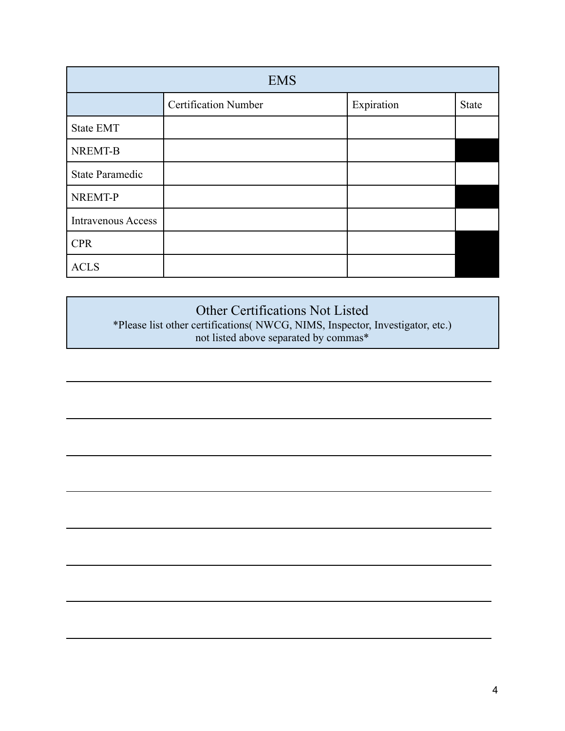| <b>EMS</b>                |                             |            |       |
|---------------------------|-----------------------------|------------|-------|
|                           | <b>Certification Number</b> | Expiration | State |
| State EMT                 |                             |            |       |
| NREMT-B                   |                             |            |       |
| <b>State Paramedic</b>    |                             |            |       |
| NREMT-P                   |                             |            |       |
| <b>Intravenous Access</b> |                             |            |       |
| <b>CPR</b>                |                             |            |       |
| <b>ACLS</b>               |                             |            |       |

## Other Certifications Not Listed

\*Please list other certifications( NWCG, NIMS, Inspector, Investigator, etc.) not listed above separated by commas\*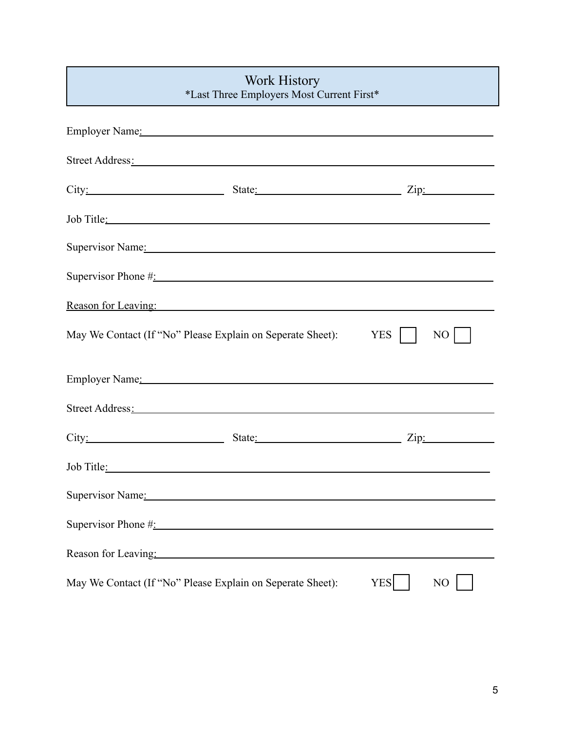| Work History<br>*Last Three Employers Most Current First* |                                                                                                                                                                                                                                          |                              |
|-----------------------------------------------------------|------------------------------------------------------------------------------------------------------------------------------------------------------------------------------------------------------------------------------------------|------------------------------|
|                                                           | Employer Name <sub>1</sub> and the set of the set of the set of the set of the set of the set of the set of the set of the set of the set of the set of the set of the set of the set of the set of the set of the set of the set of the |                              |
|                                                           |                                                                                                                                                                                                                                          |                              |
|                                                           | City: City: State: State: Zip: Zip:                                                                                                                                                                                                      |                              |
|                                                           | Job Title.                                                                                                                                                                                                                               |                              |
|                                                           | Supervisor Name: Manual Manual Manual Manual Manual Manual Manual Manual Manual Manual Manual Manual Manual Ma                                                                                                                           |                              |
|                                                           | Supervisor Phone $\#$ : $\qquad \qquad$                                                                                                                                                                                                  |                              |
|                                                           | Reason for Leaving:                                                                                                                                                                                                                      |                              |
|                                                           | May We Contact (If "No" Please Explain on Seperate Sheet):                                                                                                                                                                               | YES    <br>$NO$              |
|                                                           | Employer Name: Name and the state of the state of the state of the state of the state of the state of the state of the state of the state of the state of the state of the state of the state of the state of the state of the           |                              |
|                                                           | Street Address: No. 2014                                                                                                                                                                                                                 |                              |
|                                                           | City: City: State: State: City: Zip: Zip:                                                                                                                                                                                                |                              |
|                                                           | Job Title: <u>contract the set of the set of the set of the set of the set of the set of the set of the set of the set of the set of the set of the set of the set of the set of the set of the set of the set of the set of the</u>     |                              |
|                                                           | Supervisor Name: Manual Manual Manual Manual Manual Manual Manual Manual Manual Manual Manual Manual Manual Ma                                                                                                                           |                              |
|                                                           | Supervisor Phone $\#$ :                                                                                                                                                                                                                  |                              |
|                                                           | Reason for Leaving: 2008 and 2008 and 2008 and 2008 and 2008 and 2008 and 2008 and 2008 and 2008 and 2008 and 2008 and 2008 and 2008 and 2008 and 2008 and 2008 and 2008 and 2008 and 2008 and 2008 and 2008 and 2008 and 2008           |                              |
|                                                           | May We Contact (If "No" Please Explain on Seperate Sheet):                                                                                                                                                                               | <b>YES</b><br>N <sub>O</sub> |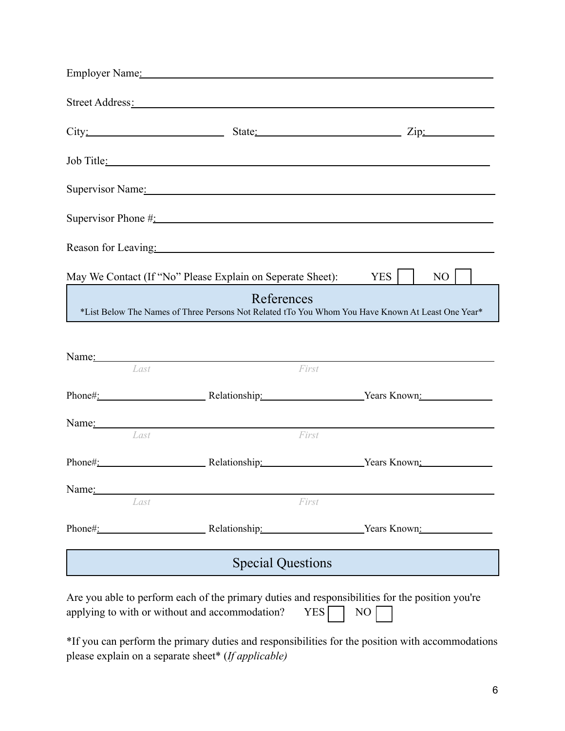| Employer Name <sub>1</sub> and the set of the set of the set of the set of the set of the set of the set of the set of the set of the set of the set of the set of the set of the set of the set of the set of the set of the set of the |            |       |      |
|------------------------------------------------------------------------------------------------------------------------------------------------------------------------------------------------------------------------------------------|------------|-------|------|
| Street Address: No. 2016. The Street Address: No. 2016. The Street Address: No. 2016. The Street Address: No. 2017. The Street Address: No. 2017. The Street Address: No. 2017. The Street Address: No. 2017. The Street Addre           |            |       |      |
| City: City: State: State: Zip: Zip:                                                                                                                                                                                                      |            |       |      |
| Job Title: <u>and the second contract of the second contract of the second contract of the second contract of the second contract of the second contract of the second contract of the second contract of the second contract of</u>     |            |       |      |
| Supervisor Name: Manual Communication of the Communication of the Communication of the Communication of the Communication of the Communication of the Communication of the Communication of the Communication of the Communica           |            |       |      |
| Supervisor Phone #: 1988 and 2008 and 2008 and 2008 and 2008 and 2008 and 2008 and 2008 and 2008 and 2008 and 2008 and 2008 and 2008 and 2008 and 2008 and 2008 and 2008 and 2008 and 2008 and 2008 and 2008 and 2008 and 2008           |            |       |      |
| Reason for Leaving: New York Changes and Season for Leaving:                                                                                                                                                                             |            |       |      |
| May We Contact (If "No" Please Explain on Seperate Sheet): YES                                                                                                                                                                           |            |       | $NO$ |
| *List Below The Names of Three Persons Not Related tTo You Whom You Have Known At Least One Year*                                                                                                                                        | References |       |      |
|                                                                                                                                                                                                                                          |            |       |      |
| Name: Name and the state of the state of the state of the state of the state of the state of the state of the state of the state of the state of the state of the state of the state of the state of the state of the state of<br>Last   |            | First |      |
| Phone#: Relationship: Years Known: Years Known:                                                                                                                                                                                          |            |       |      |
| Name:                                                                                                                                                                                                                                    |            |       |      |
| Last                                                                                                                                                                                                                                     |            | First |      |
| Phone#: Relationship: Years Known; Years Known;                                                                                                                                                                                          |            |       |      |
| Name:<br>Last                                                                                                                                                                                                                            |            | First |      |
| Phone#: Relationship: Years Known:                                                                                                                                                                                                       |            |       |      |
| <b>Special Questions</b>                                                                                                                                                                                                                 |            |       |      |

Are you able to perform each of the primary duties and responsibilities for the position you're applying to with or without and accommodation? YES  $\Box$  NO

\*If you can perform the primary duties and responsibilities for the position with accommodations please explain on a separate sheet\* (*If applicable)*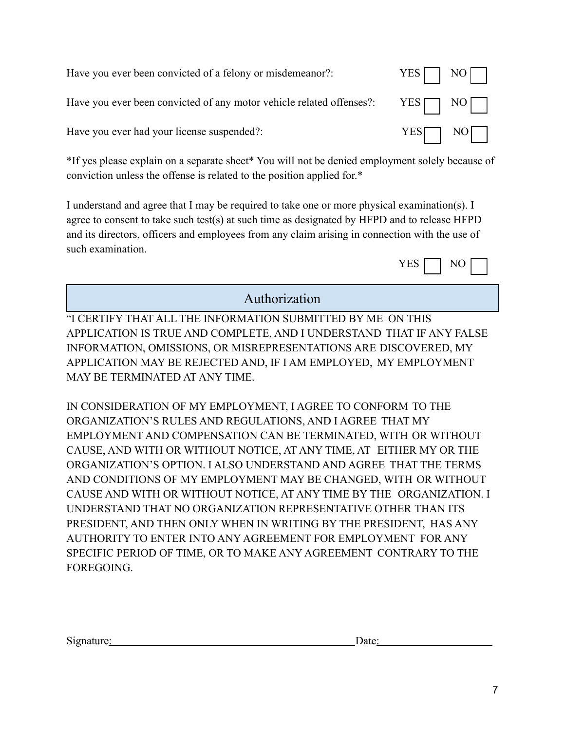| Have you ever been convicted of a felony or misdemeanor?:                                                                                        | $YES$ $\boxed{\phantom{1}}$ NO $\boxed{\phantom{1}}$ |
|--------------------------------------------------------------------------------------------------------------------------------------------------|------------------------------------------------------|
| Have you ever been convicted of any motor vehicle related offenses?: $YES \n\overrightarrow{ } \nNO \n\begin{bmatrix}   \\   \\   \end{bmatrix}$ |                                                      |
| Have you ever had your license suspended?:                                                                                                       | $YES \t{N0}$                                         |

\*If yes please explain on a separate sheet\* You will not be denied employment solely because of conviction unless the offense is related to the position applied for.\*

I understand and agree that I may be required to take one or more physical examination(s). I agree to consent to take such test(s) at such time as designated by HFPD and to release HFPD and its directors, officers and employees from any claim arising in connection with the use of such examination.

## Authorization

"I CERTIFY THAT ALL THE INFORMATION SUBMITTED BY ME ON THIS APPLICATION IS TRUE AND COMPLETE, AND I UNDERSTAND THAT IF ANY FALSE INFORMATION, OMISSIONS, OR MISREPRESENTATIONS ARE DISCOVERED, MY APPLICATION MAY BE REJECTED AND, IF I AM EMPLOYED, MY EMPLOYMENT MAY BE TERMINATED AT ANY TIME.

IN CONSIDERATION OF MY EMPLOYMENT, I AGREE TO CONFORM TO THE ORGANIZATION'S RULES AND REGULATIONS, AND I AGREE THAT MY EMPLOYMENT AND COMPENSATION CAN BE TERMINATED, WITH OR WITHOUT CAUSE, AND WITH OR WITHOUT NOTICE, AT ANY TIME, AT EITHER MY OR THE ORGANIZATION'S OPTION. I ALSO UNDERSTAND AND AGREE THAT THE TERMS AND CONDITIONS OF MY EMPLOYMENT MAY BE CHANGED, WITH OR WITHOUT CAUSE AND WITH OR WITHOUT NOTICE, AT ANY TIME BY THE ORGANIZATION. I UNDERSTAND THAT NO ORGANIZATION REPRESENTATIVE OTHER THAN ITS PRESIDENT, AND THEN ONLY WHEN IN WRITING BY THE PRESIDENT, HAS ANY AUTHORITY TO ENTER INTO ANY AGREEMENT FOR EMPLOYMENT FOR ANY SPECIFIC PERIOD OF TIME, OR TO MAKE ANY AGREEMENT CONTRARY TO THE FOREGOING.

| $\sim$     | ate. |
|------------|------|
| Signature: | uw   |

 $YES \Box NO$